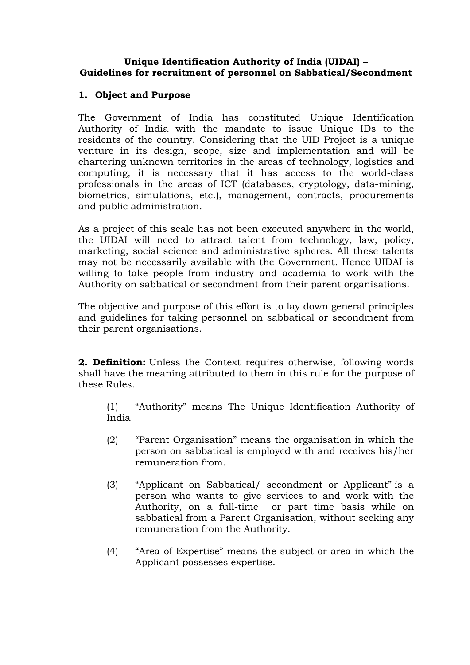#### **Unique Identification Authority of India (UIDAI) – Guidelines for recruitment of personnel on Sabbatical/Secondment**

# **1. Object and Purpose**

The Government of India has constituted Unique Identification Authority of India with the mandate to issue Unique IDs to the residents of the country. Considering that the UID Project is a unique venture in its design, scope, size and implementation and will be chartering unknown territories in the areas of technology, logistics and computing, it is necessary that it has access to the world-class professionals in the areas of ICT (databases, cryptology, data-mining, biometrics, simulations, etc.), management, contracts, procurements and public administration.

As a project of this scale has not been executed anywhere in the world, the UIDAI will need to attract talent from technology, law, policy, marketing, social science and administrative spheres. All these talents may not be necessarily available with the Government. Hence UIDAI is willing to take people from industry and academia to work with the Authority on sabbatical or secondment from their parent organisations.

The objective and purpose of this effort is to lay down general principles and guidelines for taking personnel on sabbatical or secondment from their parent organisations.

**2. Definition:** Unless the Context requires otherwise, following words shall have the meaning attributed to them in this rule for the purpose of these Rules.

(1) "Authority" means The Unique Identification Authority of India

- (2) "Parent Organisation" means the organisation in which the person on sabbatical is employed with and receives his/her remuneration from.
- (3) "Applicant on Sabbatical/ secondment or Applicant" is a person who wants to give services to and work with the Authority, on a full-time or part time basis while on sabbatical from a Parent Organisation, without seeking any remuneration from the Authority.
- (4) "Area of Expertise" means the subject or area in which the Applicant possesses expertise.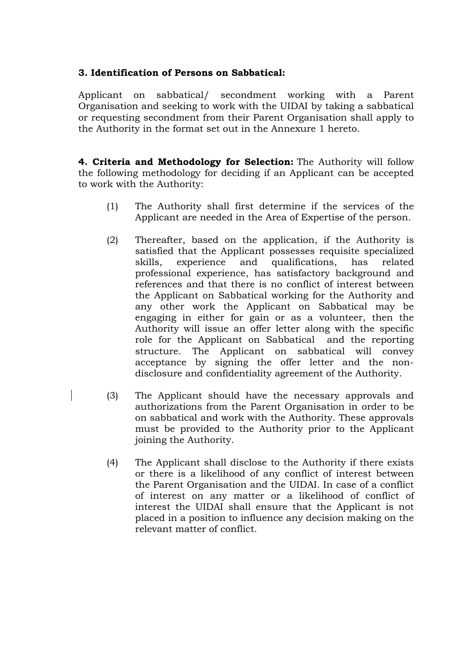## **3. Identification of Persons on Sabbatical:**

Applicant on sabbatical/ secondment working with a Parent Organisation and seeking to work with the UIDAI by taking a sabbatical or requesting secondment from their Parent Organisation shall apply to the Authority in the format set out in the Annexure 1 hereto.

**4. Criteria and Methodology for Selection:** The Authority will follow the following methodology for deciding if an Applicant can be accepted to work with the Authority:

- (1) The Authority shall first determine if the services of the Applicant are needed in the Area of Expertise of the person.
- (2) Thereafter, based on the application, if the Authority is satisfied that the Applicant possesses requisite specialized skills, experience and qualifications, has related professional experience, has satisfactory background and references and that there is no conflict of interest between the Applicant on Sabbatical working for the Authority and any other work the Applicant on Sabbatical may be engaging in either for gain or as a volunteer, then the Authority will issue an offer letter along with the specific role for the Applicant on Sabbatical and the reporting structure. The Applicant on sabbatical will convey acceptance by signing the offer letter and the nondisclosure and confidentiality agreement of the Authority.
- (3) The Applicant should have the necessary approvals and authorizations from the Parent Organisation in order to be on sabbatical and work with the Authority. These approvals must be provided to the Authority prior to the Applicant joining the Authority.
- (4) The Applicant shall disclose to the Authority if there exists or there is a likelihood of any conflict of interest between the Parent Organisation and the UIDAI. In case of a conflict of interest on any matter or a likelihood of conflict of interest the UIDAI shall ensure that the Applicant is not placed in a position to influence any decision making on the relevant matter of conflict.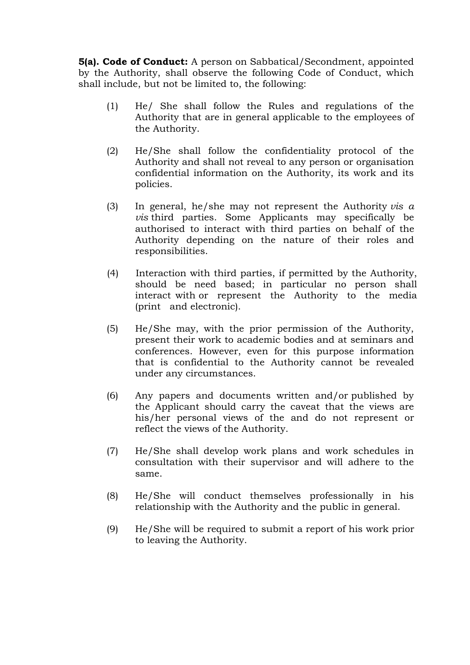**5(a). Code of Conduct:** A person on Sabbatical/Secondment, appointed by the Authority, shall observe the following Code of Conduct, which shall include, but not be limited to, the following:

- (1) He/ She shall follow the Rules and regulations of the Authority that are in general applicable to the employees of the Authority.
- (2) He/She shall follow the confidentiality protocol of the Authority and shall not reveal to any person or organisation confidential information on the Authority, its work and its policies.
- (3) In general, he/she may not represent the Authority *vis a vis* third parties. Some Applicants may specifically be authorised to interact with third parties on behalf of the Authority depending on the nature of their roles and responsibilities.
- (4) Interaction with third parties, if permitted by the Authority, should be need based; in particular no person shall interact with or represent the Authority to the media (print and electronic).
- (5) He/She may, with the prior permission of the Authority, present their work to academic bodies and at seminars and conferences. However, even for this purpose information that is confidential to the Authority cannot be revealed under any circumstances.
- (6) Any papers and documents written and/or published by the Applicant should carry the caveat that the views are his/her personal views of the and do not represent or reflect the views of the Authority.
- (7) He/She shall develop work plans and work schedules in consultation with their supervisor and will adhere to the same.
- (8) He/She will conduct themselves professionally in his relationship with the Authority and the public in general.
- (9) He/She will be required to submit a report of his work prior to leaving the Authority.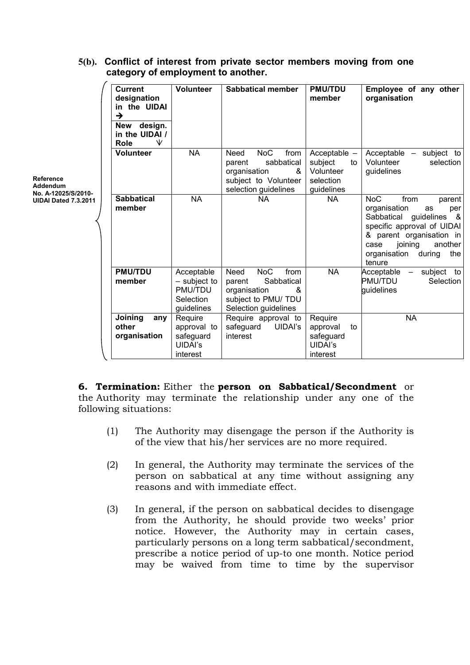| Reference<br>Addendum<br>No. A-12025/S/2010-<br>UIDAI Dated 7.3.2011 | <b>Current</b><br>designation<br>in the UIDAI<br>$\rightarrow$<br>New design.<br>in the UIDAI /<br>₩<br>Role | <b>Volunteer</b>                                                 | <b>Sabbatical member</b>                                                                                                       | <b>PMU/TDU</b><br>member                                                | Employee of any other<br>organisation                                                                                                                                                                                     |
|----------------------------------------------------------------------|--------------------------------------------------------------------------------------------------------------|------------------------------------------------------------------|--------------------------------------------------------------------------------------------------------------------------------|-------------------------------------------------------------------------|---------------------------------------------------------------------------------------------------------------------------------------------------------------------------------------------------------------------------|
|                                                                      | <b>Volunteer</b>                                                                                             | <b>NA</b>                                                        | <b>NoC</b><br>from<br><b>Need</b><br>sabbatical<br>parent<br>organisation<br>&<br>subject to Volunteer<br>selection guidelines | Acceptable $-$<br>subject<br>to<br>Volunteer<br>selection<br>guidelines | Acceptable - subject to<br>Volunteer<br>selection<br>guidelines                                                                                                                                                           |
|                                                                      | <b>Sabbatical</b><br>member                                                                                  | <b>NA</b>                                                        | <b>NA</b>                                                                                                                      | <b>NA</b>                                                               | <b>NoC</b><br>from<br>parent<br>organisation<br>as<br>per<br>Sabbatical guidelines<br>- &<br>specific approval of UIDAI<br>& parent organisation in<br>joining<br>another<br>case<br>organisation during<br>the<br>tenure |
|                                                                      | <b>PMU/TDU</b><br>member                                                                                     | Acceptable<br>- subject to<br>PMU/TDU<br>Selection<br>guidelines | <b>NoC</b><br>Need<br>from<br>Sabbatical<br>parent<br>organisation<br>&<br>subject to PMU/ TDU<br>Selection guidelines         | <b>NA</b>                                                               | Acceptable - subject to<br><b>PMU/TDU</b><br>Selection<br>quidelines                                                                                                                                                      |
|                                                                      | Joining<br>any<br>other<br>organisation                                                                      | Require<br>approval to<br>safeguard<br>UIDAI's<br>interest       | Require approval to<br>safeguard<br>UIDAI's<br>interest                                                                        | Require<br>to<br>approval<br>safeguard<br><b>UIDAI's</b><br>interest    | <b>NA</b>                                                                                                                                                                                                                 |

# **5(b). Conflict of interest from private sector members moving from one category of employment to another.**

**6. Termination:** Either the **person on Sabbatical/Secondment** or the Authority may terminate the relationship under any one of the following situations:

- (1) The Authority may disengage the person if the Authority is of the view that his/her services are no more required.
- (2) In general, the Authority may terminate the services of the person on sabbatical at any time without assigning any reasons and with immediate effect.
- (3) In general, if the person on sabbatical decides to disengage from the Authority, he should provide two weeks' prior notice. However, the Authority may in certain cases, particularly persons on a long term sabbatical/secondment, prescribe a notice period of up-to one month. Notice period may be waived from time to time by the supervisor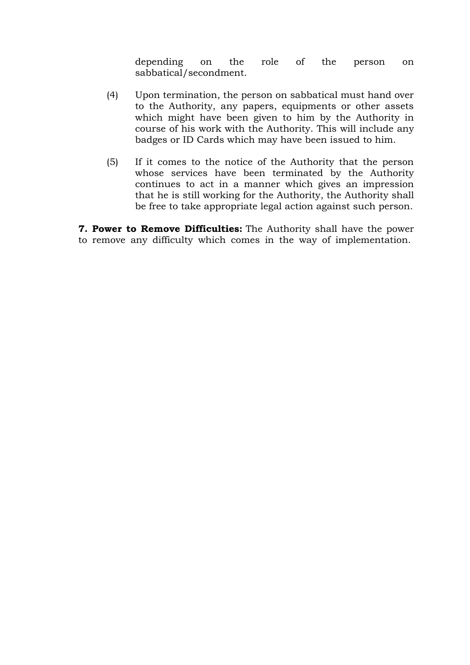depending on the role of the person on sabbatical/secondment.

- (4) Upon termination, the person on sabbatical must hand over to the Authority, any papers, equipments or other assets which might have been given to him by the Authority in course of his work with the Authority. This will include any badges or ID Cards which may have been issued to him.
- (5) If it comes to the notice of the Authority that the person whose services have been terminated by the Authority continues to act in a manner which gives an impression that he is still working for the Authority, the Authority shall be free to take appropriate legal action against such person.

**7. Power to Remove Difficulties:** The Authority shall have the power to remove any difficulty which comes in the way of implementation.